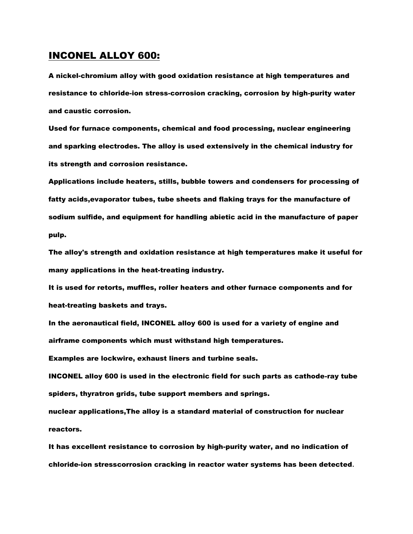#### INCONEL ALLOY 600:

A nickel-chromium alloy with good oxidation resistance at high temperatures and resistance to chloride-ion stress-corrosion cracking, corrosion by high-purity water and caustic corrosion.

Used for furnace components, chemical and food processing, nuclear engineering and sparking electrodes. The alloy is used extensively in the chemical industry for its strength and corrosion resistance.

Applications include heaters, stills, bubble towers and condensers for processing of fatty acids,evaporator tubes, tube sheets and flaking trays for the manufacture of sodium sulfide, and equipment for handling abietic acid in the manufacture of paper pulp.

The alloy's strength and oxidation resistance at high temperatures make it useful for many applications in the heat-treating industry.

It is used for retorts, muffles, roller heaters and other furnace components and for heat-treating baskets and trays.

In the aeronautical field, INCONEL alloy 600 is used for a variety of engine and airframe components which must withstand high temperatures.

Examples are lockwire, exhaust liners and turbine seals.

INCONEL alloy 600 is used in the electronic field for such parts as cathode-ray tube spiders, thyratron grids, tube support members and springs.

nuclear applications,The alloy is a standard material of construction for nuclear reactors.

It has excellent resistance to corrosion by high-purity water, and no indication of chloride-ion stresscorrosion cracking in reactor water systems has been detected**.**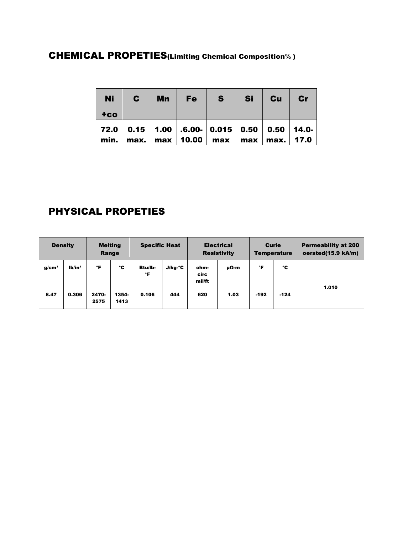# CHEMICAL PROPETIES(Limiting Chemical Composition**%** )

| <b>Ni</b> | $\mathbf{c}$ | <b>Mn</b> | Fe | S                                                                                                                | <b>Si</b> | Cu | cr |
|-----------|--------------|-----------|----|------------------------------------------------------------------------------------------------------------------|-----------|----|----|
| $+co$     |              |           |    |                                                                                                                  |           |    |    |
|           |              |           |    | 72.0   0.15   1.00   .6.00-   0.015   0.50   0.50   14.0-<br>min.   max.   max   10.00   max   max   max.   17.0 |           |    |    |

## PHYSICAL PROPETIES

| <b>Density</b>    |                 | <b>Melting</b><br>Range |               | <b>Specific Heat</b> |         | <b>Electrical</b><br><b>Resistivity</b> |      | <b>Curie</b><br><b>Temperature</b> |        | <b>Permeability at 200</b><br>oersted(15.9 kA/m) |
|-------------------|-----------------|-------------------------|---------------|----------------------|---------|-----------------------------------------|------|------------------------------------|--------|--------------------------------------------------|
| g/cm <sup>3</sup> | 1 <sup>th</sup> | °F                      | °C            | <b>Btu/lb-</b><br>°F | J/kg-°C | ohm-<br>circ<br>mil/ft                  | μΩ-m | °F                                 | ۰c     |                                                  |
| 8.47              | 0.306           | 2470-<br>2575           | 1354-<br>1413 | 0.106                | 444     | 620                                     | 1.03 | $-192$                             | $-124$ | 1.010                                            |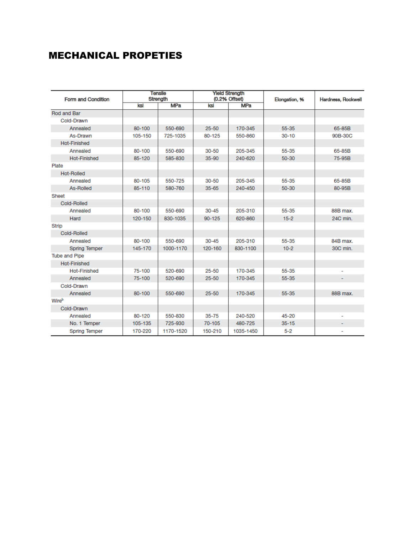### MECHANICAL PROPETIES

| Form and Condition   | <b>Tensile</b><br>Strength |            |            | <b>Yield Strength</b><br>(0.2% Offset) | Elongation, % | Hardness, Rockwell |
|----------------------|----------------------------|------------|------------|----------------------------------------|---------------|--------------------|
|                      | ksi                        | <b>MPa</b> | ksi        | <b>MPa</b>                             |               |                    |
| Rod and Bar          |                            |            |            |                                        |               |                    |
| Cold-Drawn           |                            |            |            |                                        |               |                    |
| Annealed             | 80-100                     | 550-690    | $25 - 50$  | 170-345                                | 55-35         | 65-85B             |
| As-Drawn             | 105-150                    | 725-1035   | 80-125     | 550-860                                | $30 - 10$     | 90B-30C            |
| <b>Hot-Finished</b>  |                            |            |            |                                        |               |                    |
| Annealed             | 80-100                     | 550-690    | $30 - 50$  | 205-345                                | 55-35         | 65-85B             |
| <b>Hot-Finished</b>  | 85-120                     | 585-830    | $35 - 90$  | 240-620                                | $50 - 30$     | 75-95B             |
| Plate                |                            |            |            |                                        |               |                    |
| Hot-Rolled           |                            |            |            |                                        |               |                    |
| Annealed             | 80-105                     | 550-725    | $30 - 50$  | 205-345                                | 55-35         | 65-85B             |
| <b>As-Rolled</b>     | 85-110                     | 580-760    | $35 - 65$  | 240-450                                | $50 - 30$     | 80-95B             |
| Sheet                |                            |            |            |                                        |               |                    |
| Cold-Rolled          |                            |            |            |                                        |               |                    |
| Annealed             | 80-100                     | 550-690    | $30 - 45$  | 205-310                                | 55-35         | 88B max.           |
| Hard                 | 120-150                    | 830-1035   | $90 - 125$ | 620-860                                | $15 - 2$      | 24C min.           |
| <b>Strip</b>         |                            |            |            |                                        |               |                    |
| Cold-Rolled          |                            |            |            |                                        |               |                    |
| Annealed             | 80-100                     | 550-690    | $30 - 45$  | 205-310                                | 55-35         | 84B max.           |
| <b>Spring Temper</b> | 145-170                    | 1000-1170  | 120-160    | 830-1100                               | $10-2$        | 30C min.           |
| <b>Tube and Pipe</b> |                            |            |            |                                        |               |                    |
| <b>Hot-Finished</b>  |                            |            |            |                                        |               |                    |
| <b>Hot-Finished</b>  | 75-100                     | 520-690    | $25 - 50$  | 170-345                                | 55-35         |                    |
| Annealed             | 75-100                     | 520-690    | $25 - 50$  | 170-345                                | 55-35         |                    |
| Cold-Drawn           |                            |            |            |                                        |               |                    |
| Annealed             | 80-100                     | 550-690    | $25 - 50$  | 170-345                                | 55-35         | 88B max.           |
| Wireb                |                            |            |            |                                        |               |                    |
| Cold-Drawn           |                            |            |            |                                        |               |                    |
| Annealed             | 80-120                     | 550-830    | $35 - 75$  | 240-520                                | 45-20         | ۰                  |
| No. 1 Temper         | 105-135                    | 725-930    | 70-105     | 480-725                                | $35 - 15$     |                    |
| <b>Spring Temper</b> | 170-220                    | 1170-1520  | 150-210    | 1035-1450                              | $5 - 2$       |                    |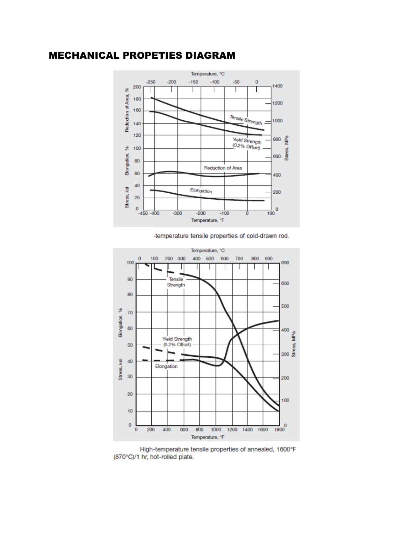#### MECHANICAL PROPETIES DIAGRAM



-temperature tensile properties of cold-drawn rod.



High-temperature tensile properties of annealed, 1600°F (870°C)/1 hr, hot-rolled plate.